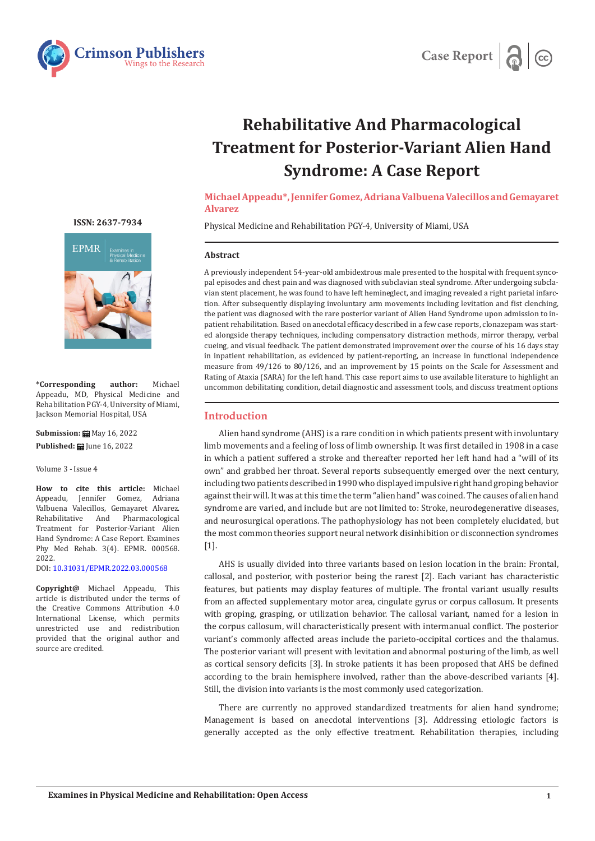



# **Rehabilitative And Pharmacological Treatment for Posterior-Variant Alien Hand Syndrome: A Case Report**

**Michael Appeadu\*, Jennifer Gomez, Adriana Valbuena Valecillos and Gemayaret Alvarez** 

Physical Medicine and Rehabilitation PGY-4, University of Miami, USA

## **Abstract**

A previously independent 54-year-old ambidextrous male presented to the hospital with frequent syncopal episodes and chest pain and was diagnosed with subclavian steal syndrome. After undergoing subclavian stent placement, he was found to have left hemineglect, and imaging revealed a right parietal infarction. After subsequently displaying involuntary arm movements including levitation and fist clenching, the patient was diagnosed with the rare posterior variant of Alien Hand Syndrome upon admission to inpatient rehabilitation. Based on anecdotal efficacy described in a few case reports, clonazepam was started alongside therapy techniques, including compensatory distraction methods, mirror therapy, verbal cueing, and visual feedback. The patient demonstrated improvement over the course of his 16 days stay in inpatient rehabilitation, as evidenced by patient-reporting, an increase in functional independence measure from 49/126 to 80/126, and an improvement by 15 points on the Scale for Assessment and Rating of Ataxia (SARA) for the left hand. This case report aims to use available literature to highlight an uncommon debilitating condition, detail diagnostic and assessment tools, and discuss treatment options

## **Introduction**

Alien hand syndrome (AHS) is a rare condition in which patients present with involuntary limb movements and a feeling of loss of limb ownership. It was first detailed in 1908 in a case in which a patient suffered a stroke and thereafter reported her left hand had a "will of its own" and grabbed her throat. Several reports subsequently emerged over the next century, including two patients described in 1990 who displayed impulsive right hand groping behavior against their will. It was at this time the term "alien hand" was coined. The causes of alien hand syndrome are varied, and include but are not limited to: Stroke, neurodegenerative diseases, and neurosurgical operations. The pathophysiology has not been completely elucidated, but the most common theories support neural network disinhibition or disconnection syndromes [1].

AHS is usually divided into three variants based on lesion location in the brain: Frontal, callosal, and posterior, with posterior being the rarest [2]. Each variant has characteristic features, but patients may display features of multiple. The frontal variant usually results from an affected supplementary motor area, cingulate gyrus or corpus callosum. It presents with groping, grasping, or utilization behavior. The callosal variant, named for a lesion in the corpus callosum, will characteristically present with intermanual conflict. The posterior variant's commonly affected areas include the parieto-occipital cortices and the thalamus. The posterior variant will present with levitation and abnormal posturing of the limb, as well as cortical sensory deficits [3]. In stroke patients it has been proposed that AHS be defined according to the brain hemisphere involved, rather than the above-described variants [4]. Still, the division into variants is the most commonly used categorization.

There are currently no approved standardized treatments for alien hand syndrome; Management is based on anecdotal interventions [3]. Addressing etiologic factors is generally accepted as the only effective treatment. Rehabilitation therapies, including

**ISSN: 2637-7934**



**\*Corresponding author:** Michael Appeadu, MD, Physical Medicine and Rehabilitation PGY-4, University of Miami, Jackson Memorial Hospital, USA

**Submission:** *H* May 16, 2022 **Published: | June 16, 2022** 

Volume 3 - Issue 4

**How to cite this article:** Michael Appeadu, Valbuena Valecillos, Gemayaret Alvarez. Pharmacological Treatment for Posterior-Variant Alien Hand Syndrome: A Case Report. Examines Phy Med Rehab. 3(4). EPMR. 000568. 2022.

DOI: [10.31031/EPMR.2022.03.000568](https://dx.doi.org/10.31031/EPMR.2022.03.000568)

**Copyright@** Michael Appeadu, This article is distributed under the terms of the Creative Commons Attribution 4.0 International License, which permits unrestricted use and redistribution provided that the original author and source are credited.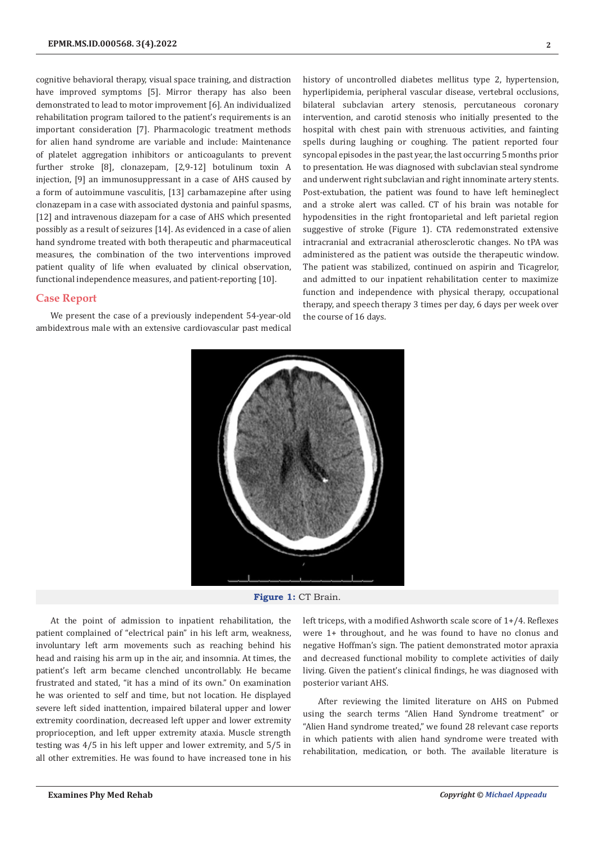cognitive behavioral therapy, visual space training, and distraction have improved symptoms [5]. Mirror therapy has also been demonstrated to lead to motor improvement [6]. An individualized rehabilitation program tailored to the patient's requirements is an important consideration [7]. Pharmacologic treatment methods for alien hand syndrome are variable and include: Maintenance of platelet aggregation inhibitors or anticoagulants to prevent further stroke [8], clonazepam, [2,9-12] botulinum toxin A injection, [9] an immunosuppressant in a case of AHS caused by a form of autoimmune vasculitis, [13] carbamazepine after using clonazepam in a case with associated dystonia and painful spasms, [12] and intravenous diazepam for a case of AHS which presented possibly as a result of seizures [14]. As evidenced in a case of alien hand syndrome treated with both therapeutic and pharmaceutical measures, the combination of the two interventions improved patient quality of life when evaluated by clinical observation, functional independence measures, and patient-reporting [10].

## **Case Report**

We present the case of a previously independent 54-year-old ambidextrous male with an extensive cardiovascular past medical history of uncontrolled diabetes mellitus type 2, hypertension, hyperlipidemia, peripheral vascular disease, vertebral occlusions, bilateral subclavian artery stenosis, percutaneous coronary intervention, and carotid stenosis who initially presented to the hospital with chest pain with strenuous activities, and fainting spells during laughing or coughing. The patient reported four syncopal episodes in the past year, the last occurring 5 months prior to presentation. He was diagnosed with subclavian steal syndrome and underwent right subclavian and right innominate artery stents. Post-extubation, the patient was found to have left hemineglect and a stroke alert was called. CT of his brain was notable for hypodensities in the right frontoparietal and left parietal region suggestive of stroke (Figure 1). CTA redemonstrated extensive intracranial and extracranial atherosclerotic changes. No tPA was administered as the patient was outside the therapeutic window. The patient was stabilized, continued on aspirin and Ticagrelor, and admitted to our inpatient rehabilitation center to maximize function and independence with physical therapy, occupational therapy, and speech therapy 3 times per day, 6 days per week over the course of 16 days.



**Figure 1:** CT Brain.

At the point of admission to inpatient rehabilitation, the patient complained of "electrical pain" in his left arm, weakness, involuntary left arm movements such as reaching behind his head and raising his arm up in the air, and insomnia. At times, the patient's left arm became clenched uncontrollably. He became frustrated and stated, "it has a mind of its own." On examination he was oriented to self and time, but not location. He displayed severe left sided inattention, impaired bilateral upper and lower extremity coordination, decreased left upper and lower extremity proprioception, and left upper extremity ataxia. Muscle strength testing was 4/5 in his left upper and lower extremity, and 5/5 in all other extremities. He was found to have increased tone in his

left triceps, with a modified Ashworth scale score of 1+/4. Reflexes were 1+ throughout, and he was found to have no clonus and negative Hoffman's sign. The patient demonstrated motor apraxia and decreased functional mobility to complete activities of daily living. Given the patient's clinical findings, he was diagnosed with posterior variant AHS.

After reviewing the limited literature on AHS on Pubmed using the search terms "Alien Hand Syndrome treatment" or "Alien Hand syndrome treated," we found 28 relevant case reports in which patients with alien hand syndrome were treated with rehabilitation, medication, or both. The available literature is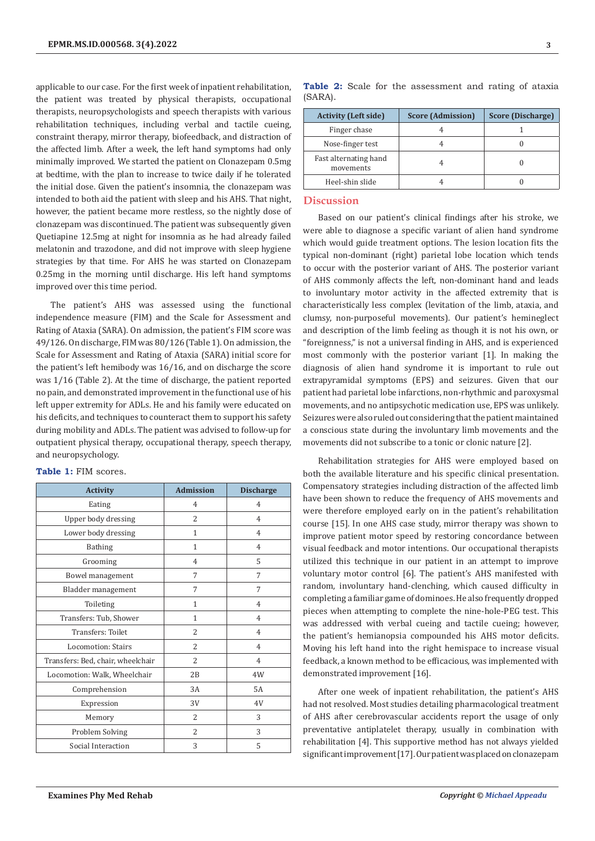applicable to our case. For the first week of inpatient rehabilitation, the patient was treated by physical therapists, occupational therapists, neuropsychologists and speech therapists with various rehabilitation techniques, including verbal and tactile cueing, constraint therapy, mirror therapy, biofeedback, and distraction of the affected limb. After a week, the left hand symptoms had only minimally improved. We started the patient on Clonazepam 0.5mg at bedtime, with the plan to increase to twice daily if he tolerated the initial dose. Given the patient's insomnia, the clonazepam was intended to both aid the patient with sleep and his AHS. That night, however, the patient became more restless, so the nightly dose of clonazepam was discontinued. The patient was subsequently given Quetiapine 12.5mg at night for insomnia as he had already failed melatonin and trazodone, and did not improve with sleep hygiene strategies by that time. For AHS he was started on Clonazepam 0.25mg in the morning until discharge. His left hand symptoms improved over this time period.

The patient's AHS was assessed using the functional independence measure (FIM) and the Scale for Assessment and Rating of Ataxia (SARA). On admission, the patient's FIM score was 49/126. On discharge, FIM was 80/126 (Table 1). On admission, the Scale for Assessment and Rating of Ataxia (SARA) initial score for the patient's left hemibody was 16/16, and on discharge the score was 1/16 (Table 2). At the time of discharge, the patient reported no pain, and demonstrated improvement in the functional use of his left upper extremity for ADLs. He and his family were educated on his deficits, and techniques to counteract them to support his safety during mobility and ADLs. The patient was advised to follow-up for outpatient physical therapy, occupational therapy, speech therapy, and neuropsychology.

| <b>Activity</b>                   | <b>Admission</b> | <b>Discharge</b> |  |
|-----------------------------------|------------------|------------------|--|
| Eating                            | 4                | 4                |  |
| Upper body dressing               | 2                | $\overline{4}$   |  |
| Lower body dressing               | $\mathbf{1}$     | $\overline{4}$   |  |
| <b>Bathing</b>                    | 1                | $\overline{4}$   |  |
| Grooming                          | 4                | 5                |  |
| Bowel management                  | 7                | 7                |  |
| Bladder management                | 7                | 7                |  |
| Toileting                         | $\mathbf{1}$     | $\overline{4}$   |  |
| Transfers: Tub, Shower            | $\mathbf{1}$     | $\overline{4}$   |  |
| Transfers: Toilet                 | $\overline{2}$   | $\overline{4}$   |  |
| Locomotion: Stairs                | $\overline{2}$   | $\overline{4}$   |  |
| Transfers: Bed, chair, wheelchair | $\overline{2}$   | $\overline{4}$   |  |
| Locomotion: Walk, Wheelchair      | 2B               | 4W               |  |
| Comprehension                     | 3A               | 5A               |  |
| Expression                        | 3V               | 4V               |  |
| Memory                            | 2                | 3                |  |
| Problem Solving                   | 2                | 3                |  |
| Social Interaction                | 3                | 5                |  |

**Table 1:** FIM scores.

| <b>Activity (Left side)</b>        | <b>Score (Admission)</b> | Score (Discharge) |  |
|------------------------------------|--------------------------|-------------------|--|
| Finger chase                       |                          |                   |  |
| Nose-finger test                   |                          |                   |  |
| Fast alternating hand<br>movements |                          |                   |  |
| Heel-shin slide                    |                          |                   |  |

**Table 2:** Scale for the assessment and rating of ataxia (SARA).

## **Discussion**

Based on our patient's clinical findings after his stroke, we were able to diagnose a specific variant of alien hand syndrome which would guide treatment options. The lesion location fits the typical non-dominant (right) parietal lobe location which tends to occur with the posterior variant of AHS. The posterior variant of AHS commonly affects the left, non-dominant hand and leads to involuntary motor activity in the affected extremity that is characteristically less complex (levitation of the limb, ataxia, and clumsy, non-purposeful movements). Our patient's hemineglect and description of the limb feeling as though it is not his own, or "foreignness," is not a universal finding in AHS, and is experienced most commonly with the posterior variant [1]. In making the diagnosis of alien hand syndrome it is important to rule out extrapyramidal symptoms (EPS) and seizures. Given that our patient had parietal lobe infarctions, non-rhythmic and paroxysmal movements, and no antipsychotic medication use, EPS was unlikely. Seizures were also ruled out considering that the patient maintained a conscious state during the involuntary limb movements and the movements did not subscribe to a tonic or clonic nature [2].

Rehabilitation strategies for AHS were employed based on both the available literature and his specific clinical presentation. Compensatory strategies including distraction of the affected limb have been shown to reduce the frequency of AHS movements and were therefore employed early on in the patient's rehabilitation course [15]. In one AHS case study, mirror therapy was shown to improve patient motor speed by restoring concordance between visual feedback and motor intentions. Our occupational therapists utilized this technique in our patient in an attempt to improve voluntary motor control [6]. The patient's AHS manifested with random, involuntary hand-clenching, which caused difficulty in completing a familiar game of dominoes. He also frequently dropped pieces when attempting to complete the nine-hole-PEG test. This was addressed with verbal cueing and tactile cueing; however, the patient's hemianopsia compounded his AHS motor deficits. Moving his left hand into the right hemispace to increase visual feedback, a known method to be efficacious, was implemented with demonstrated improvement [16].

After one week of inpatient rehabilitation, the patient's AHS had not resolved. Most studies detailing pharmacological treatment of AHS after cerebrovascular accidents report the usage of only preventative antiplatelet therapy, usually in combination with rehabilitation [4]. This supportive method has not always yielded significant improvement [17]. Our patient was placed on clonazepam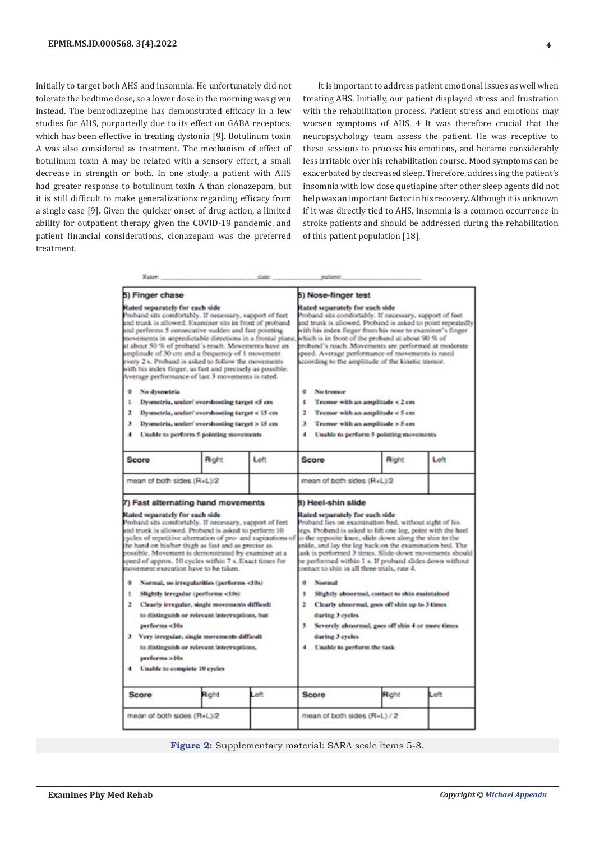initially to target both AHS and insomnia. He unfortunately did not tolerate the bedtime dose, so a lower dose in the morning was given instead. The benzodiazepine has demonstrated efficacy in a few studies for AHS, purportedly due to its effect on GABA receptors, which has been effective in treating dystonia [9]. Botulinum toxin A was also considered as treatment. The mechanism of effect of botulinum toxin A may be related with a sensory effect, a small decrease in strength or both. In one study, a patient with AHS had greater response to botulinum toxin A than clonazepam, but it is still difficult to make generalizations regarding efficacy from a single case [9]. Given the quicker onset of drug action, a limited ability for outpatient therapy given the COVID-19 pandemic, and patient financial considerations, clonazepam was the preferred treatment.

It is important to address patient emotional issues as well when treating AHS. Initially, our patient displayed stress and frustration with the rehabilitation process. Patient stress and emotions may worsen symptoms of AHS. 4 It was therefore crucial that the neuropsychology team assess the patient. He was receptive to these sessions to process his emotions, and became considerably less irritable over his rehabilitation course. Mood symptoms can be exacerbated by decreased sleep. Therefore, addressing the patient's insomnia with low dose quetiapine after other sleep agents did not help was an important factor in his recovery. Although it is unknown if it was directly tied to AHS, insomnia is a common occurrence in stroke patients and should be addressed during the rehabilitation of this patient population [18].

| 5) Finger chase<br>Rated separately for each side<br>Proband sits comfortably. If necessary, support of feet<br>and trunk is allowed. Examiner sits in front of proband<br>and performs 5 consecutive sudden and fast pointing<br>novements in unpredictable directions in a frontal plane,<br>at about 50 % of proband's reach. Movements have an<br>amplitude of 30 cm and a frequency of 1 movement<br>every 2 s. Proband is asked to follow the movements<br>with his index finger, as fast and precisely as possible.<br>Average performance of last 3 movements is rated.                                                                                                                                                                                                                                                                     |       |      | <b>5) Nose-finger test</b>                                                                                                                                                                                                                                                                                                                                                                                                                                                                                                                                                                                                                                                                                                   |       |      |  |
|-----------------------------------------------------------------------------------------------------------------------------------------------------------------------------------------------------------------------------------------------------------------------------------------------------------------------------------------------------------------------------------------------------------------------------------------------------------------------------------------------------------------------------------------------------------------------------------------------------------------------------------------------------------------------------------------------------------------------------------------------------------------------------------------------------------------------------------------------------|-------|------|------------------------------------------------------------------------------------------------------------------------------------------------------------------------------------------------------------------------------------------------------------------------------------------------------------------------------------------------------------------------------------------------------------------------------------------------------------------------------------------------------------------------------------------------------------------------------------------------------------------------------------------------------------------------------------------------------------------------------|-------|------|--|
|                                                                                                                                                                                                                                                                                                                                                                                                                                                                                                                                                                                                                                                                                                                                                                                                                                                     |       |      | Rated separately for each side<br>Proband sits comfortably. If necessary, support of feet<br>and trunk is allowed. Proband is asked to point repeatedly<br>with his index finger from his nose to examiner's finger<br>which is in front of the proband at about 90 % of<br>reband's reach. Movements are performed at moderate<br>speed. Average performance of movements is rated<br>according to the amplitude of the kinetic tremor.                                                                                                                                                                                                                                                                                     |       |      |  |
| ۰<br>No dysmetria<br>Dysmetria, under/overshooting target <5 cm<br>٤<br>Dysmetria, under/overshooting target < 15 cm<br>z.<br>Dysmetria, under/ overshooting target > 15 cm<br>э<br>Unable to perform 5 pointing movements                                                                                                                                                                                                                                                                                                                                                                                                                                                                                                                                                                                                                          |       |      | ō<br>No tremor<br>Tremer with an amplitude < 2 cm<br>٠<br>2<br>Tremer with an amplitude < 5 cm<br>з<br>Tremer with an amplitude > 5 cm<br>Unable to perform 5 pointing movements                                                                                                                                                                                                                                                                                                                                                                                                                                                                                                                                             |       |      |  |
| <b>Score</b>                                                                                                                                                                                                                                                                                                                                                                                                                                                                                                                                                                                                                                                                                                                                                                                                                                        | Right | Left | Score                                                                                                                                                                                                                                                                                                                                                                                                                                                                                                                                                                                                                                                                                                                        | Right | Left |  |
| 7) Fast alternating hand movements<br>Rated separately for each side<br>Proband sits comfortably. If necessary, support of feet<br>and trunk is allowed. Proband is asked to perform 10<br>cycles of repetitive alternation of pro- and supinations of<br>the hand on his/her thigh as fast and as precise as<br>possible. Movement is demonstrated by examiner at a<br>speed of approx. 10 cycles within 7 s. Exact times for<br>movement execution have to be taken.<br>۰<br>Normal, no irregularities (performs <10s)<br>Slightly irregular (performs <10s)<br>$\mathbf{r}$<br>Clearly irregular, single movements difficult<br>to distinguish or relevant interruptions, but<br>performs <10s<br>з.<br>Very irregular, single movements difficult<br>to distinguish or relevant interruptions,<br>performs >10s<br>Unable to complete 10 cycles |       |      | B) Heel-shin slide<br>Rated separately for each side<br>Proband lies on examination bed, without sight of his<br>egs. Proband is asked to lift one leg, point with the heel<br>to the opposite knee, slide down along the shin to the<br>inkle, and lay the leg back on the examination bod. The<br>ask is performed 3 times. Slide-down movements should<br>be performed within 1 s. If proband slides down without<br>centact to shin in all three trials, rate 4.<br>Normal<br>a<br>Slightly abnormal, contact to shin maintained<br>1<br>Clearly abnormal, goes off shin up to 3 times<br>2<br>during 3 cycles<br>Severely abnormal, goes off shin 4 or more times<br>х<br>during 3 cycles<br>Unable to perform the task |       |      |  |
| <b>Score</b>                                                                                                                                                                                                                                                                                                                                                                                                                                                                                                                                                                                                                                                                                                                                                                                                                                        | Right | Left | <b>Score</b>                                                                                                                                                                                                                                                                                                                                                                                                                                                                                                                                                                                                                                                                                                                 | Right | Left |  |
| mean of both sides (R+L)/2                                                                                                                                                                                                                                                                                                                                                                                                                                                                                                                                                                                                                                                                                                                                                                                                                          |       |      | mean of both sides (R+L) / 2                                                                                                                                                                                                                                                                                                                                                                                                                                                                                                                                                                                                                                                                                                 |       |      |  |

**Figure 2:** Supplementary material: SARA scale items 5-8.